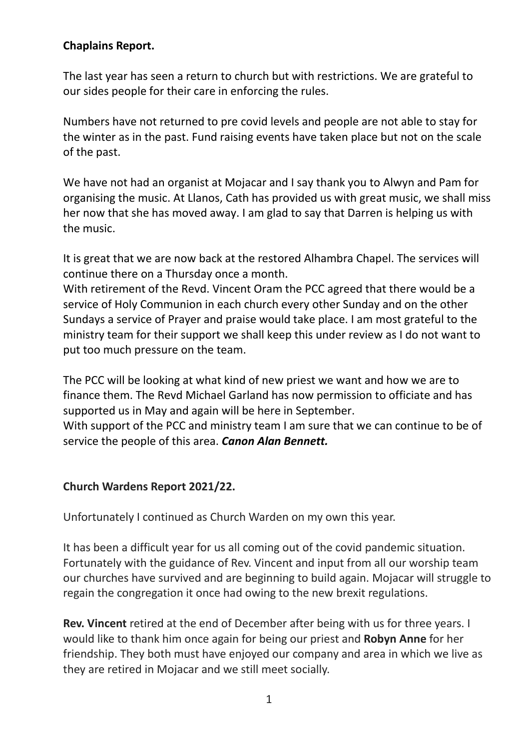### **Chaplains Report.**

The last year has seen a return to church but with restrictions. We are grateful to our sides people for their care in enforcing the rules.

Numbers have not returned to pre covid levels and people are not able to stay for the winter as in the past. Fund raising events have taken place but not on the scale of the past.

We have not had an organist at Mojacar and I say thank you to Alwyn and Pam for organising the music. At Llanos, Cath has provided us with great music, we shall miss her now that she has moved away. I am glad to say that Darren is helping us with the music.

It is great that we are now back at the restored Alhambra Chapel. The services will continue there on a Thursday once a month.

With retirement of the Revd. Vincent Oram the PCC agreed that there would be a service of Holy Communion in each church every other Sunday and on the other Sundays a service of Prayer and praise would take place. I am most grateful to the ministry team for their support we shall keep this under review as I do not want to put too much pressure on the team.

The PCC will be looking at what kind of new priest we want and how we are to finance them. The Revd Michael Garland has now permission to officiate and has supported us in May and again will be here in September.

With support of the PCC and ministry team I am sure that we can continue to be of service the people of this area. *Canon Alan Bennett.*

## **Church Wardens Report 2021/22.**

Unfortunately I continued as Church Warden on my own this year.

It has been a difficult year for us all coming out of the covid pandemic situation. Fortunately with the guidance of Rev. Vincent and input from all our worship team our churches have survived and are beginning to build again. Mojacar will struggle to regain the congregation it once had owing to the new brexit regulations.

**Rev. Vincent** retired at the end of December after being with us for three years. I would like to thank him once again for being our priest and **Robyn Anne** for her friendship. They both must have enjoyed our company and area in which we live as they are retired in Mojacar and we still meet socially.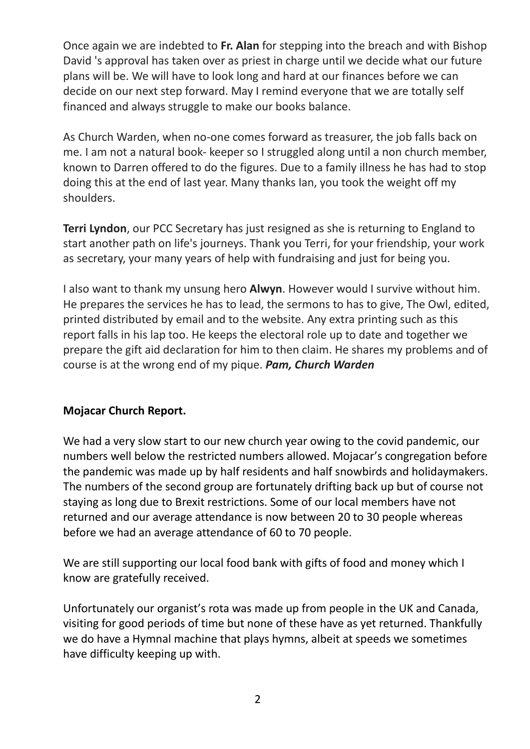Once again we are indebted to **Fr. Alan** for stepping into the breach and with Bishop David 's approval has taken over as priest in charge until we decide what our future plans will be. We will have to look long and hard at our finances before we can decide on our next step forward. May I remind everyone that we are totally self financed and always struggle to make our books balance.

As Church Warden, when no-one comes forward as treasurer, the job falls back on me. I am not a natural book- keeper so I struggled along until a non church member, known to Darren offered to do the figures. Due to a family illness he has had to stop doing this at the end of last year. Many thanks Ian, you took the weight off my shoulders.

**Terri Lyndon**, our PCC Secretary has just resigned as she is returning to England to start another path on life's journeys. Thank you Terri, for your friendship, your work as secretary, your many years of help with fundraising and just for being you.

I also want to thank my unsung hero **Alwyn**. However would I survive without him. He prepares the services he has to lead, the sermons to has to give, The Owl, edited, printed distributed by email and to the website. Any extra printing such as this report falls in his lap too. He keeps the electoral role up to date and together we prepare the gift aid declaration for him to then claim. He shares my problems and of course is at the wrong end of my pique. *Pam, Church Warden*

## **Mojacar Church Report.**

We had a very slow start to our new church year owing to the covid pandemic, our numbers well below the restricted numbers allowed. Mojacar's congregation before the pandemic was made up by half residents and half snowbirds and holidaymakers. The numbers of the second group are fortunately drifting back up but of course not staying as long due to Brexit restrictions. Some of our local members have not returned and our average attendance is now between 20 to 30 people whereas before we had an average attendance of 60 to 70 people.

We are still supporting our local food bank with gifts of food and money which I know are gratefully received.

Unfortunately our organist's rota was made up from people in the UK and Canada, visiting for good periods of time but none of these have as yet returned. Thankfully we do have a Hymnal machine that plays hymns, albeit at speeds we sometimes have difficulty keeping up with.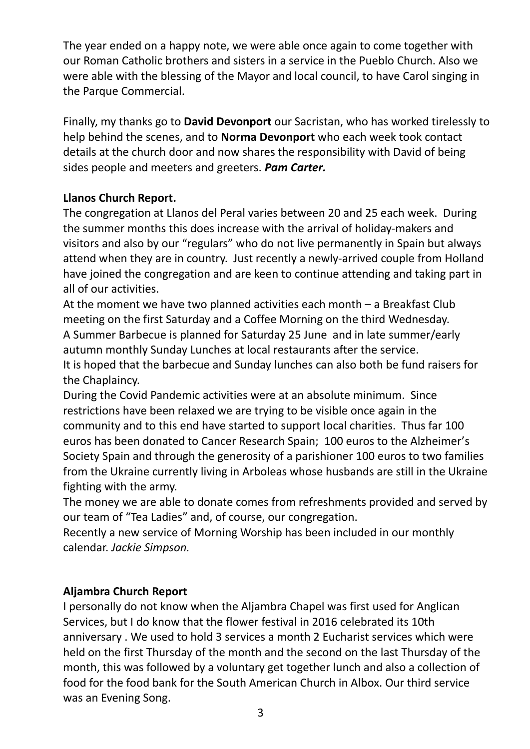The year ended on a happy note, we were able once again to come together with our Roman Catholic brothers and sisters in a service in the Pueblo Church. Also we were able with the blessing of the Mayor and local council, to have Carol singing in the Parque Commercial.

Finally, my thanks go to **David Devonport** our Sacristan, who has worked tirelessly to help behind the scenes, and to **Norma Devonport** who each week took contact details at the church door and now shares the responsibility with David of being sides people and meeters and greeters. *Pam Carter.*

# **Llanos Church Report.**

The congregation at Llanos del Peral varies between 20 and 25 each week. During the summer months this does increase with the arrival of holiday-makers and visitors and also by our "regulars" who do not live permanently in Spain but always attend when they are in country. Just recently a newly-arrived couple from Holland have joined the congregation and are keen to continue attending and taking part in all of our activities.

At the moment we have two planned activities each month – a Breakfast Club meeting on the first Saturday and a Coffee Morning on the third Wednesday. A Summer Barbecue is planned for Saturday 25 June and in late summer/early autumn monthly Sunday Lunches at local restaurants after the service. It is hoped that the barbecue and Sunday lunches can also both be fund raisers for

the Chaplaincy.

During the Covid Pandemic activities were at an absolute minimum. Since restrictions have been relaxed we are trying to be visible once again in the community and to this end have started to support local charities. Thus far 100 euros has been donated to Cancer Research Spain; 100 euros to the Alzheimer's Society Spain and through the generosity of a parishioner 100 euros to two families from the Ukraine currently living in Arboleas whose husbands are still in the Ukraine fighting with the army.

The money we are able to donate comes from refreshments provided and served by our team of "Tea Ladies" and, of course, our congregation.

Recently a new service of Morning Worship has been included in our monthly calendar. *Jackie Simpson.*

## **Aljambra Church Report**

I personally do not know when the Aljambra Chapel was first used for Anglican Services, but I do know that the flower festival in 2016 celebrated its 10th anniversary . We used to hold 3 services a month 2 Eucharist services which were held on the first Thursday of the month and the second on the last Thursday of the month, this was followed by a voluntary get together lunch and also a collection of food for the food bank for the South American Church in Albox. Our third service was an Evening Song.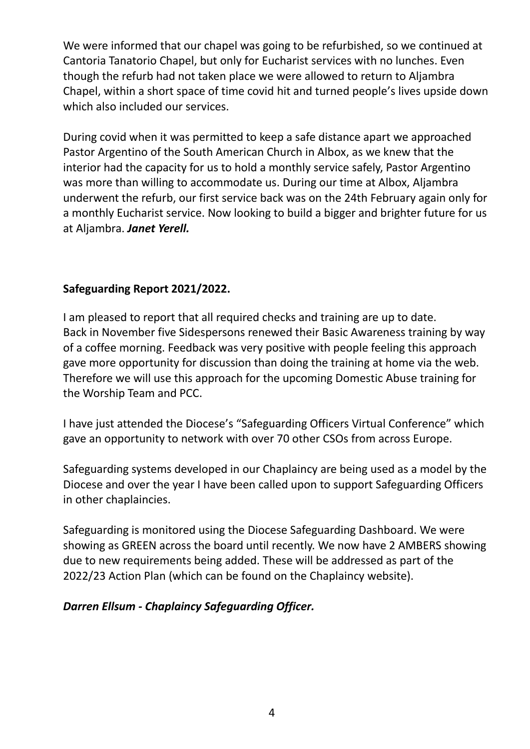We were informed that our chapel was going to be refurbished, so we continued at Cantoria Tanatorio Chapel, but only for Eucharist services with no lunches. Even though the refurb had not taken place we were allowed to return to Aljambra Chapel, within a short space of time covid hit and turned people's lives upside down which also included our services.

During covid when it was permitted to keep a safe distance apart we approached Pastor Argentino of the South American Church in Albox, as we knew that the interior had the capacity for us to hold a monthly service safely, Pastor Argentino was more than willing to accommodate us. During our time at Albox, Aljambra underwent the refurb, our first service back was on the 24th February again only for a monthly Eucharist service. Now looking to build a bigger and brighter future for us at Aljambra. *Janet Yerell.*

### **Safeguarding Report 2021/2022.**

I am pleased to report that all required checks and training are up to date. Back in November five Sidespersons renewed their Basic Awareness training by way of a coffee morning. Feedback was very positive with people feeling this approach gave more opportunity for discussion than doing the training at home via the web. Therefore we will use this approach for the upcoming Domestic Abuse training for the Worship Team and PCC.

I have just attended the Diocese's "Safeguarding Officers Virtual Conference" which gave an opportunity to network with over 70 other CSOs from across Europe.

Safeguarding systems developed in our Chaplaincy are being used as a model by the Diocese and over the year I have been called upon to support Safeguarding Officers in other chaplaincies.

Safeguarding is monitored using the Diocese Safeguarding Dashboard. We were showing as GREEN across the board until recently. We now have 2 AMBERS showing due to new requirements being added. These will be addressed as part of the 2022/23 Action Plan (which can be found on the Chaplaincy website).

#### *Darren Ellsum - Chaplaincy Safeguarding Officer.*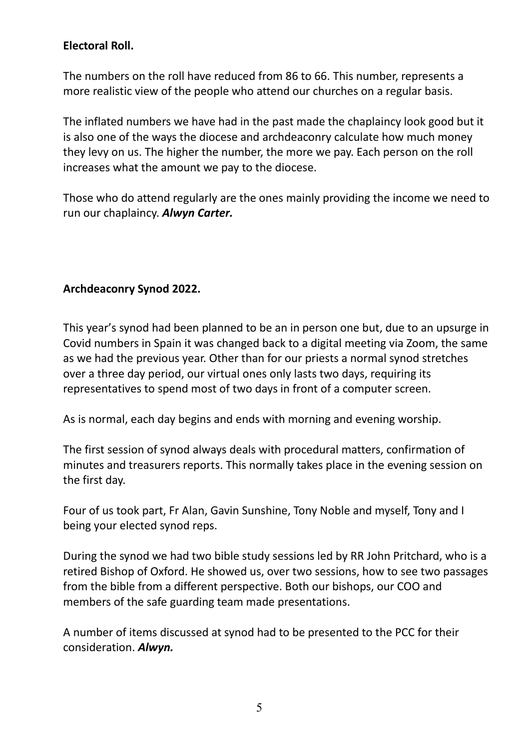### **Electoral Roll.**

The numbers on the roll have reduced from 86 to 66. This number, represents a more realistic view of the people who attend our churches on a regular basis.

The inflated numbers we have had in the past made the chaplaincy look good but it is also one of the ways the diocese and archdeaconry calculate how much money they levy on us. The higher the number, the more we pay. Each person on the roll increases what the amount we pay to the diocese.

Those who do attend regularly are the ones mainly providing the income we need to run our chaplaincy. *Alwyn Carter.*

### **Archdeaconry Synod 2022.**

This year's synod had been planned to be an in person one but, due to an upsurge in Covid numbers in Spain it was changed back to a digital meeting via Zoom, the same as we had the previous year. Other than for our priests a normal synod stretches over a three day period, our virtual ones only lasts two days, requiring its representatives to spend most of two days in front of a computer screen.

As is normal, each day begins and ends with morning and evening worship.

The first session of synod always deals with procedural matters, confirmation of minutes and treasurers reports. This normally takes place in the evening session on the first day.

Four of us took part, Fr Alan, Gavin Sunshine, Tony Noble and myself, Tony and I being your elected synod reps.

During the synod we had two bible study sessions led by RR John Pritchard, who is a retired Bishop of Oxford. He showed us, over two sessions, how to see two passages from the bible from a different perspective. Both our bishops, our COO and members of the safe guarding team made presentations.

A number of items discussed at synod had to be presented to the PCC for their consideration. *Alwyn.*